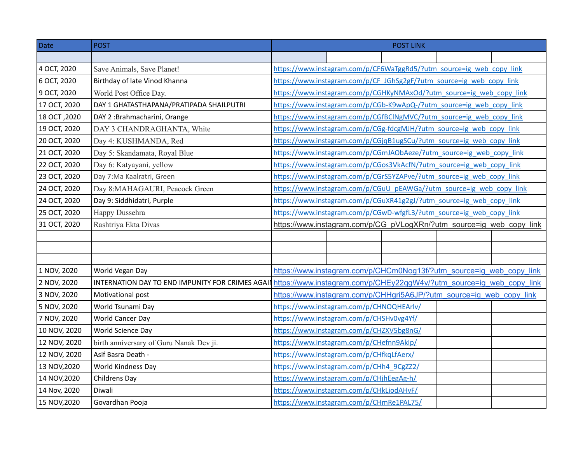| Date         | <b>POST</b>                                      | <b>POST LINK</b>                                                     |  |  |  |  |  |  |
|--------------|--------------------------------------------------|----------------------------------------------------------------------|--|--|--|--|--|--|
|              |                                                  |                                                                      |  |  |  |  |  |  |
| 4 OCT, 2020  | Save Animals, Save Planet!                       | https://www.instagram.com/p/CF6WaTggRd5/?utm_source=ig_web_copy_link |  |  |  |  |  |  |
| 6 OCT, 2020  | Birthday of late Vinod Khanna                    | https://www.instagram.com/p/CF JGhSg2gF/?utm source=ig web copy link |  |  |  |  |  |  |
| 9 OCT, 2020  | World Post Office Day.                           | https://www.instagram.com/p/CGHKyNMAxOd/?utm_source=ig_web_copy_link |  |  |  |  |  |  |
| 17 OCT, 2020 | DAY 1 GHATASTHAPANA/PRATIPADA SHAILPUTRI         | https://www.instagram.com/p/CGb-K9wApQ-/?utm_source=ig_web_copy_link |  |  |  |  |  |  |
| 18 OCT, 2020 | DAY 2 :Brahmacharini, Orange                     | https://www.instagram.com/p/CGfBClNgMVC/?utm_source=ig_web_copy_link |  |  |  |  |  |  |
| 19 OCT, 2020 | DAY 3 CHANDRAGHANTA, White                       | https://www.instagram.com/p/CGg-fdcgMJH/?utm_source=ig_web_copy_link |  |  |  |  |  |  |
| 20 OCT, 2020 | Day 4: KUSHMANDA, Red                            | https://www.instagram.com/p/CGjqB1ugSCu/?utm_source=ig_web_copy_link |  |  |  |  |  |  |
| 21 OCT, 2020 | Day 5: Skandamata, Royal Blue                    | https://www.instagram.com/p/CGmJAObAeze/?utm_source=ig_web_copy_link |  |  |  |  |  |  |
| 22 OCT, 2020 | Day 6: Katyayani, yellow                         | https://www.instagram.com/p/CGos3VkAcfN/?utm_source=ig_web_copy_link |  |  |  |  |  |  |
| 23 OCT, 2020 | Day 7:Ma Kaalratri, Green                        | https://www.instagram.com/p/CGrS5YZAPve/?utm_source=ig_web_copy_link |  |  |  |  |  |  |
| 24 OCT, 2020 | Day 8:MAHAGAURI, Peacock Green                   | https://www.instagram.com/p/CGuU pEAWGa/?utm source=ig web copy link |  |  |  |  |  |  |
| 24 OCT, 2020 | Day 9: Siddhidatri, Purple                       | https://www.instagram.com/p/CGuXR41g2gJ/?utm_source=ig_web_copy_link |  |  |  |  |  |  |
| 25 OCT, 2020 | Happy Dussehra                                   | https://www.instagram.com/p/CGwD-wfgfL3/?utm_source=ig_web_copy_link |  |  |  |  |  |  |
| 31 OCT, 2020 | Rashtriya Ekta Divas                             | https://www.instagram.com/p/CG pVLogXRn/?utm source=ig web copy link |  |  |  |  |  |  |
|              |                                                  |                                                                      |  |  |  |  |  |  |
|              |                                                  |                                                                      |  |  |  |  |  |  |
|              |                                                  |                                                                      |  |  |  |  |  |  |
| 1 NOV, 2020  | World Vegan Day                                  | https://www.instagram.com/p/CHCm0Nog13f/?utm_source=ig_web_copy_link |  |  |  |  |  |  |
| 2 NOV, 2020  | INTERNATION DAY TO END IMPUNITY FOR CRIMES AGAIN | https://www.instagram.com/p/CHEy22qqW4v/?utm_source=ig_web_copy_link |  |  |  |  |  |  |
| 3 NOV, 2020  | Motivational post                                | https://www.instagram.com/p/CHHgri5A6JP/?utm_source=ig_web_copy_link |  |  |  |  |  |  |
| 5 NOV, 2020  | World Tsunami Day                                | https://www.instagram.com/p/CHNOQHEArlv/                             |  |  |  |  |  |  |
| 7 NOV, 2020  | World Cancer Day                                 | https://www.instagram.com/p/CHSHv0vg4Yf/                             |  |  |  |  |  |  |
| 10 NOV, 2020 | World Science Day                                | https://www.instagram.com/p/CHZXV5bg8nG/                             |  |  |  |  |  |  |
| 12 NOV, 2020 | birth anniversary of Guru Nanak Dev ji.          | https://www.instagram.com/p/CHefnn9Aklp/                             |  |  |  |  |  |  |
| 12 NOV, 2020 | Asif Basra Death -                               | https://www.instagram.com/p/CHfkqLfAerx/                             |  |  |  |  |  |  |
| 13 NOV, 2020 | World Kindness Day                               | https://www.instagram.com/p/CHh4_9CgZZ2/                             |  |  |  |  |  |  |
| 14 NOV, 2020 | Childrens Day                                    | https://www.instagram.com/p/CHjhEegAg-h/                             |  |  |  |  |  |  |
| 14 Nov, 2020 | Diwali                                           | https://www.instagram.com/p/CHkLiodAHvF/                             |  |  |  |  |  |  |
| 15 NOV, 2020 | Govardhan Pooja                                  | https://www.instagram.com/p/CHmRe1PAL75/                             |  |  |  |  |  |  |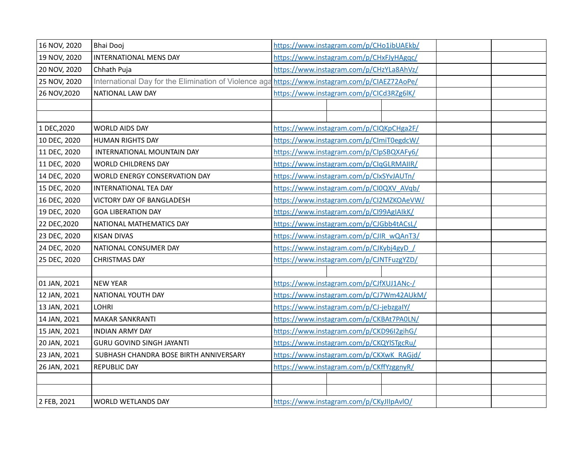| 16 NOV, 2020 | <b>Bhai Dooj</b>                                                                               | https://www.instagram.com/p/CHo1ibUAEkb/ |  |  |  |  |
|--------------|------------------------------------------------------------------------------------------------|------------------------------------------|--|--|--|--|
| 19 NOV, 2020 | INTERNATIONAL MENS DAY                                                                         | https://www.instagram.com/p/CHxFJyHAgqc/ |  |  |  |  |
| 20 NOV, 2020 | Chhath Puja                                                                                    | https://www.instagram.com/p/CHzYLa8AhVz/ |  |  |  |  |
| 25 NOV, 2020 | International Day for the Elimination of Violence aga https://www.instagram.com/p/CIAEZ72AoPe/ |                                          |  |  |  |  |
| 26 NOV, 2020 | NATIONAL LAW DAY                                                                               | https://www.instagram.com/p/CICd3RZg6lK/ |  |  |  |  |
|              |                                                                                                |                                          |  |  |  |  |
|              |                                                                                                |                                          |  |  |  |  |
| 1 DEC, 2020  | <b>WORLD AIDS DAY</b>                                                                          | https://www.instagram.com/p/CIQKpCHga2F/ |  |  |  |  |
| 10 DEC, 2020 | HUMAN RIGHTS DAY                                                                               | https://www.instagram.com/p/CImiT0egdcW/ |  |  |  |  |
| 11 DEC, 2020 | INTERNATIONAL MOUNTAIN DAY                                                                     | https://www.instagram.com/p/ClpSBQXAFy6/ |  |  |  |  |
| 11 DEC, 2020 | <b>WORLD CHILDRENS DAY</b>                                                                     | https://www.instagram.com/p/ClqGLRMAIIR/ |  |  |  |  |
| 14 DEC, 2020 | WORLD ENERGY CONSERVATION DAY                                                                  | https://www.instagram.com/p/ClxSYvJAUTn/ |  |  |  |  |
| 15 DEC, 2020 | INTERNATIONAL TEA DAY                                                                          | https://www.instagram.com/p/CI0QXV_AVqb/ |  |  |  |  |
| 16 DEC, 2020 | VICTORY DAY OF BANGLADESH                                                                      | https://www.instagram.com/p/CI2MZKOAeVW/ |  |  |  |  |
| 19 DEC, 2020 | <b>GOA LIBERATION DAY</b>                                                                      | https://www.instagram.com/p/Cl99AgIAIkK/ |  |  |  |  |
| 22 DEC, 2020 | NATIONAL MATHEMATICS DAY                                                                       | https://www.instagram.com/p/CJGbb4tACsL/ |  |  |  |  |
| 23 DEC, 2020 | <b>KISAN DIVAS</b>                                                                             | https://www.instagram.com/p/CJIR_wQAnT3/ |  |  |  |  |
| 24 DEC, 2020 | NATIONAL CONSUMER DAY                                                                          | https://www.instagram.com/p/CJKybj4gyD / |  |  |  |  |
| 25 DEC, 2020 | <b>CHRISTMAS DAY</b>                                                                           | https://www.instagram.com/p/CJNTFuzgYZD/ |  |  |  |  |
|              |                                                                                                |                                          |  |  |  |  |
| 01 JAN, 2021 | <b>NEW YEAR</b>                                                                                | https://www.instagram.com/p/CJfXUJ1ANc-/ |  |  |  |  |
| 12 JAN, 2021 | NATIONAL YOUTH DAY                                                                             | https://www.instagram.com/p/CJ7Wm42AUkM/ |  |  |  |  |
| 13 JAN, 2021 | <b>LOHRI</b>                                                                                   | https://www.instagram.com/p/CJ-jebzgalY/ |  |  |  |  |
| 14 JAN, 2021 | <b>MAKAR SANKRANTI</b>                                                                         | https://www.instagram.com/p/CKBAt7PA0LN/ |  |  |  |  |
| 15 JAN, 2021 | <b>INDIAN ARMY DAY</b>                                                                         | https://www.instagram.com/p/CKD96I2gihG/ |  |  |  |  |
| 20 JAN, 2021 | <b>GURU GOVIND SINGH JAYANTI</b>                                                               | https://www.instagram.com/p/CKQYISTgcRu/ |  |  |  |  |
| 23 JAN, 2021 | SUBHASH CHANDRA BOSE BIRTH ANNIVERSARY                                                         | https://www.instagram.com/p/CKXwK_RAGjd/ |  |  |  |  |
| 26 JAN, 2021 | <b>REPUBLIC DAY</b>                                                                            | https://www.instagram.com/p/CKffYzggnyR/ |  |  |  |  |
|              |                                                                                                |                                          |  |  |  |  |
|              |                                                                                                |                                          |  |  |  |  |
| 2 FEB, 2021  | WORLD WETLANDS DAY                                                                             | https://www.instagram.com/p/CKyJIIpAvIO/ |  |  |  |  |